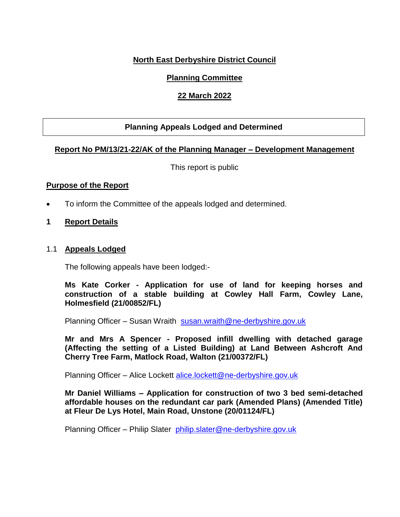#### **North East Derbyshire District Council**

#### **Planning Committee**

#### **22 March 2022**

#### **Planning Appeals Lodged and Determined**

#### **Report No PM/13/21-22/AK of the Planning Manager – Development Management**

This report is public

#### **Purpose of the Report**

- To inform the Committee of the appeals lodged and determined.
- **1 Report Details**

#### 1.1 **Appeals Lodged**

The following appeals have been lodged:-

**Ms Kate Corker - Application for use of land for keeping horses and construction of a stable building at Cowley Hall Farm, Cowley Lane, Holmesfield (21/00852/FL)**

Planning Officer – Susan Wraith [susan.wraith@ne-derbyshire.gov.uk](mailto:susan.wraith@ne-derbyshire.gov.uk)

**Mr and Mrs A Spencer - Proposed infill dwelling with detached garage (Affecting the setting of a Listed Building) at Land Between Ashcroft And Cherry Tree Farm, Matlock Road, Walton (21/00372/FL)**

Planning Officer – Alice Lockett [alice.lockett@ne-derbyshire.gov.uk](mailto:alice.lockett@ne-derbyshire.gov.uk)

**Mr Daniel Williams – Application for construction of two 3 bed semi-detached affordable houses on the redundant car park (Amended Plans) (Amended Title) at Fleur De Lys Hotel, Main Road, Unstone (20/01124/FL)**

Planning Officer – Philip Slater [philip.slater@ne-derbyshire.gov.uk](mailto:philip.slater@ne-derbyshire.gov.uk)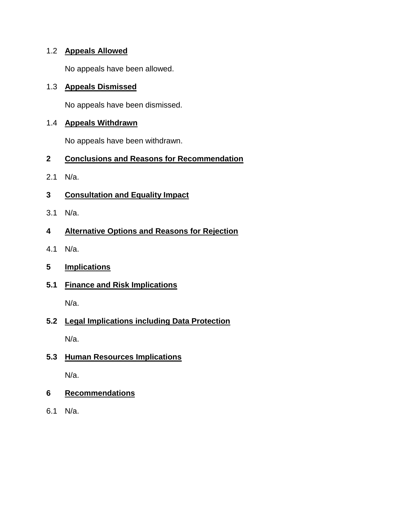## 1.2 **Appeals Allowed**

No appeals have been allowed.

#### 1.3 **Appeals Dismissed**

No appeals have been dismissed.

### 1.4 **Appeals Withdrawn**

No appeals have been withdrawn.

## **2 Conclusions and Reasons for Recommendation**

- 2.1 N/a.
- **3 Consultation and Equality Impact**
- 3.1 N/a.

# **4 Alternative Options and Reasons for Rejection**

- 4.1 N/a.
- **5 Implications**

# **5.1 Finance and Risk Implications**

N/a.

# **5.2 Legal Implications including Data Protection**

N/a.

# **5.3 Human Resources Implications**

N/a.

# **6 Recommendations**

6.1 N/a.